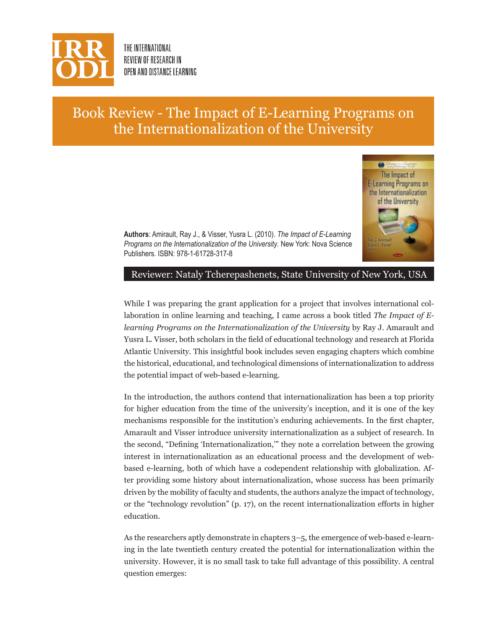

THE INTERNATIONAL REVIEW OF RESEARCH IN OPEN AND DISTANCE LEARNING

## Book Review - The Impact of E-Learning Programs on the Internationalization of the University



**Authors**: Amirault, Ray J., & Visser, Yusra L. (2010). *The Impact of E-Learning Programs on the Internationalization of the University*. New York: Nova Science Publishers. ISBN: 978-1-61728-317-8

## Reviewer: Nataly Tcherepashenets, State University of New York, USA

While I was preparing the grant application for a project that involves international collaboration in online learning and teaching, I came across a book titled *The Impact of Elearning Programs on the Internationalization of the University* by Ray J. Amarault and Yusra L. Visser, both scholars in the field of educational technology and research at Florida Atlantic University. This insightful book includes seven engaging chapters which combine the historical, educational, and technological dimensions of internationalization to address the potential impact of web-based e-learning.

In the introduction, the authors contend that internationalization has been a top priority for higher education from the time of the university's inception, and it is one of the key mechanisms responsible for the institution's enduring achievements. In the first chapter, Amarault and Visser introduce university internationalization as a subject of research. In the second, "Defining 'Internationalization,'" they note a correlation between the growing interest in internationalization as an educational process and the development of webbased e-learning, both of which have a codependent relationship with globalization. After providing some history about internationalization, whose success has been primarily driven by the mobility of faculty and students, the authors analyze the impact of technology, or the "technology revolution" (p. 17), on the recent internationalization efforts in higher education.

As the researchers aptly demonstrate in chapters 3–5, the emergence of web-based e-learning in the late twentieth century created the potential for internationalization within the university. However, it is no small task to take full advantage of this possibility. A central question emerges: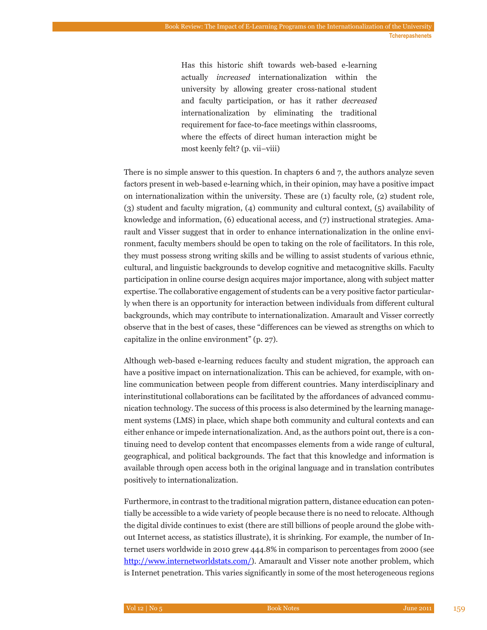Has this historic shift towards web-based e-learning actually *increased* internationalization within the university by allowing greater cross-national student and faculty participation, or has it rather *decreased*  internationalization by eliminating the traditional requirement for face-to-face meetings within classrooms, where the effects of direct human interaction might be most keenly felt? (p. vii–viii)

There is no simple answer to this question. In chapters 6 and 7, the authors analyze seven factors present in web-based e-learning which, in their opinion, may have a positive impact on internationalization within the university. These are (1) faculty role, (2) student role, (3) student and faculty migration, (4) community and cultural context, (5) availability of knowledge and information, (6) educational access, and (7) instructional strategies. Amarault and Visser suggest that in order to enhance internationalization in the online environment, faculty members should be open to taking on the role of facilitators. In this role, they must possess strong writing skills and be willing to assist students of various ethnic, cultural, and linguistic backgrounds to develop cognitive and metacognitive skills. Faculty participation in online course design acquires major importance, along with subject matter expertise. The collaborative engagement of students can be a very positive factor particularly when there is an opportunity for interaction between individuals from different cultural backgrounds, which may contribute to internationalization. Amarault and Visser correctly observe that in the best of cases, these "differences can be viewed as strengths on which to capitalize in the online environment" (p. 27).

Although web-based e-learning reduces faculty and student migration, the approach can have a positive impact on internationalization. This can be achieved, for example, with online communication between people from different countries. Many interdisciplinary and interinstitutional collaborations can be facilitated by the affordances of advanced communication technology. The success of this process is also determined by the learning management systems (LMS) in place, which shape both community and cultural contexts and can either enhance or impede internationalization. And, as the authors point out, there is a continuing need to develop content that encompasses elements from a wide range of cultural, geographical, and political backgrounds. The fact that this knowledge and information is available through open access both in the original language and in translation contributes positively to internationalization.

Furthermore, in contrast to the traditional migration pattern, distance education can potentially be accessible to a wide variety of people because there is no need to relocate. Although the digital divide continues to exist (there are still billions of people around the globe without Internet access, as statistics illustrate), it is shrinking. For example, the number of Internet users worldwide in 2010 grew 444.8% in comparison to percentages from 2000 (see http://www.internetworldstats.com/). Amarault and Visser note another problem, which is Internet penetration. This varies significantly in some of the most heterogeneous regions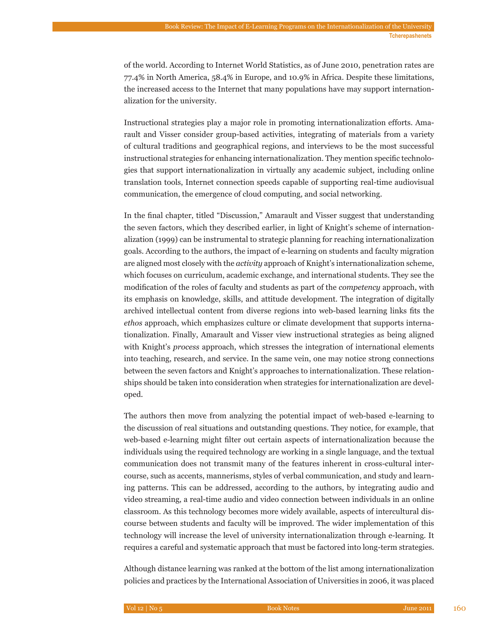of the world. According to Internet World Statistics, as of June 2010, penetration rates are 77.4% in North America, 58.4% in Europe, and 10.9% in Africa. Despite these limitations, the increased access to the Internet that many populations have may support internationalization for the university.

Instructional strategies play a major role in promoting internationalization efforts. Amarault and Visser consider group-based activities, integrating of materials from a variety of cultural traditions and geographical regions, and interviews to be the most successful instructional strategies for enhancing internationalization. They mention specific technologies that support internationalization in virtually any academic subject, including online translation tools, Internet connection speeds capable of supporting real-time audiovisual communication, the emergence of cloud computing, and social networking.

In the final chapter, titled "Discussion," Amarault and Visser suggest that understanding the seven factors, which they described earlier, in light of Knight's scheme of internationalization (1999) can be instrumental to strategic planning for reaching internationalization goals. According to the authors, the impact of e-learning on students and faculty migration are aligned most closely with the *activity* approach of Knight's internationalization scheme, which focuses on curriculum, academic exchange, and international students. They see the modification of the roles of faculty and students as part of the *competency* approach, with its emphasis on knowledge, skills, and attitude development. The integration of digitally archived intellectual content from diverse regions into web-based learning links fits the *ethos* approach, which emphasizes culture or climate development that supports internationalization. Finally, Amarault and Visser view instructional strategies as being aligned with Knight's *process* approach, which stresses the integration of international elements into teaching, research, and service. In the same vein, one may notice strong connections between the seven factors and Knight's approaches to internationalization. These relationships should be taken into consideration when strategies for internationalization are developed.

The authors then move from analyzing the potential impact of web-based e-learning to the discussion of real situations and outstanding questions. They notice, for example, that web-based e-learning might filter out certain aspects of internationalization because the individuals using the required technology are working in a single language, and the textual communication does not transmit many of the features inherent in cross-cultural intercourse, such as accents, mannerisms, styles of verbal communication, and study and learning patterns. This can be addressed, according to the authors, by integrating audio and video streaming, a real-time audio and video connection between individuals in an online classroom. As this technology becomes more widely available, aspects of intercultural discourse between students and faculty will be improved. The wider implementation of this technology will increase the level of university internationalization through e-learning. It requires a careful and systematic approach that must be factored into long-term strategies.

Although distance learning was ranked at the bottom of the list among internationalization policies and practices by the International Association of Universities in 2006, it was placed